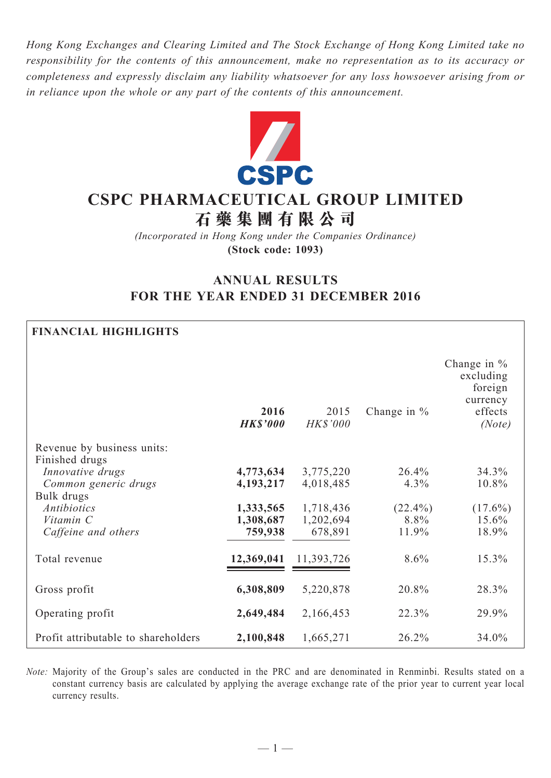*Hong Kong Exchanges and Clearing Limited and The Stock Exchange of Hong Kong Limited take no responsibility for the contents of this announcement, make no representation as to its accuracy or completeness and expressly disclaim any liability whatsoever for any loss howsoever arising from or in reliance upon the whole or any part of the contents of this announcement.*



# **CSPC PHARMACEUTICAL GROUP LIMITED**

**石 藥 集 團 有 限 公 司**

*(Incorporated in Hong Kong under the Companies Ordinance)* **(Stock code: 1093)**

# **ANNUAL RESULTS FOR THE YEAR ENDED 31 DECEMBER 2016**

## **FINANCIAL HIGHLIGHTS**

|                                                                          | 2016<br><b>HK\$'000</b> | 2015<br><b>HK\$'000</b> | Change in $%$      | Change in $%$<br>excluding<br>foreign<br>currency<br>effects<br>(Note) |
|--------------------------------------------------------------------------|-------------------------|-------------------------|--------------------|------------------------------------------------------------------------|
| Revenue by business units:                                               |                         |                         |                    |                                                                        |
| Finished drugs<br>Innovative drugs<br>Common generic drugs<br>Bulk drugs | 4,773,634<br>4,193,217  | 3,775,220<br>4,018,485  | 26.4%<br>$4.3\%$   | 34.3%<br>10.8%                                                         |
| <b>Antibiotics</b><br>Vitamin C                                          | 1,333,565<br>1,308,687  | 1,718,436<br>1,202,694  | $(22.4\%)$<br>8.8% | $(17.6\%)$<br>15.6%                                                    |
| Caffeine and others                                                      | 759,938                 | 678,891                 | 11.9%              | 18.9%                                                                  |
| Total revenue                                                            | 12,369,041              | 11,393,726              | $8.6\%$            | 15.3%                                                                  |
| Gross profit                                                             | 6,308,809               | 5,220,878               | 20.8%              | 28.3%                                                                  |
| Operating profit                                                         | 2,649,484               | 2,166,453               | 22.3%              | 29.9%                                                                  |
| Profit attributable to shareholders                                      | 2,100,848               | 1,665,271               | 26.2%              | 34.0%                                                                  |

*Note:* Majority of the Group's sales are conducted in the PRC and are denominated in Renminbi. Results stated on a constant currency basis are calculated by applying the average exchange rate of the prior year to current year local currency results.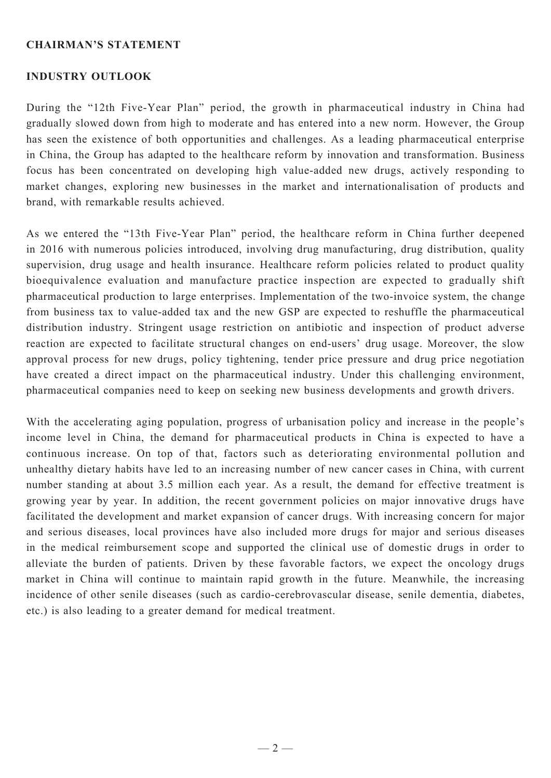### **Chairman's Statement**

### **INDUSTRY OUTLOOK**

During the "12th Five-Year Plan" period, the growth in pharmaceutical industry in China had gradually slowed down from high to moderate and has entered into a new norm. However, the Group has seen the existence of both opportunities and challenges. As a leading pharmaceutical enterprise in China, the Group has adapted to the healthcare reform by innovation and transformation. Business focus has been concentrated on developing high value-added new drugs, actively responding to market changes, exploring new businesses in the market and internationalisation of products and brand, with remarkable results achieved.

As we entered the "13th Five-Year Plan" period, the healthcare reform in China further deepened in 2016 with numerous policies introduced, involving drug manufacturing, drug distribution, quality supervision, drug usage and health insurance. Healthcare reform policies related to product quality bioequivalence evaluation and manufacture practice inspection are expected to gradually shift pharmaceutical production to large enterprises. Implementation of the two-invoice system, the change from business tax to value-added tax and the new GSP are expected to reshuffle the pharmaceutical distribution industry. Stringent usage restriction on antibiotic and inspection of product adverse reaction are expected to facilitate structural changes on end-users' drug usage. Moreover, the slow approval process for new drugs, policy tightening, tender price pressure and drug price negotiation have created a direct impact on the pharmaceutical industry. Under this challenging environment, pharmaceutical companies need to keep on seeking new business developments and growth drivers.

With the accelerating aging population, progress of urbanisation policy and increase in the people's income level in China, the demand for pharmaceutical products in China is expected to have a continuous increase. On top of that, factors such as deteriorating environmental pollution and unhealthy dietary habits have led to an increasing number of new cancer cases in China, with current number standing at about 3.5 million each year. As a result, the demand for effective treatment is growing year by year. In addition, the recent government policies on major innovative drugs have facilitated the development and market expansion of cancer drugs. With increasing concern for major and serious diseases, local provinces have also included more drugs for major and serious diseases in the medical reimbursement scope and supported the clinical use of domestic drugs in order to alleviate the burden of patients. Driven by these favorable factors, we expect the oncology drugs market in China will continue to maintain rapid growth in the future. Meanwhile, the increasing incidence of other senile diseases (such as cardio-cerebrovascular disease, senile dementia, diabetes, etc.) is also leading to a greater demand for medical treatment.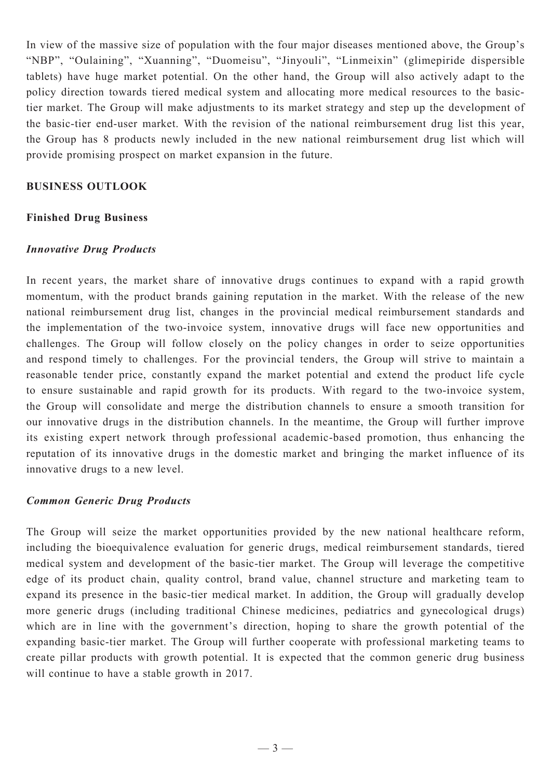In view of the massive size of population with the four major diseases mentioned above, the Group's "NBP", "Oulaining", "Xuanning", "Duomeisu", "Jinyouli", "Linmeixin" (glimepiride dispersible tablets) have huge market potential. On the other hand, the Group will also actively adapt to the policy direction towards tiered medical system and allocating more medical resources to the basictier market. The Group will make adjustments to its market strategy and step up the development of the basic-tier end-user market. With the revision of the national reimbursement drug list this year, the Group has 8 products newly included in the new national reimbursement drug list which will provide promising prospect on market expansion in the future.

### **BUSINESS OUTLOOK**

### **Finished Drug Business**

### *Innovative Drug Products*

In recent years, the market share of innovative drugs continues to expand with a rapid growth momentum, with the product brands gaining reputation in the market. With the release of the new national reimbursement drug list, changes in the provincial medical reimbursement standards and the implementation of the two-invoice system, innovative drugs will face new opportunities and challenges. The Group will follow closely on the policy changes in order to seize opportunities and respond timely to challenges. For the provincial tenders, the Group will strive to maintain a reasonable tender price, constantly expand the market potential and extend the product life cycle to ensure sustainable and rapid growth for its products. With regard to the two-invoice system, the Group will consolidate and merge the distribution channels to ensure a smooth transition for our innovative drugs in the distribution channels. In the meantime, the Group will further improve its existing expert network through professional academic-based promotion, thus enhancing the reputation of its innovative drugs in the domestic market and bringing the market influence of its innovative drugs to a new level.

### *Common Generic Drug Products*

The Group will seize the market opportunities provided by the new national healthcare reform, including the bioequivalence evaluation for generic drugs, medical reimbursement standards, tiered medical system and development of the basic-tier market. The Group will leverage the competitive edge of its product chain, quality control, brand value, channel structure and marketing team to expand its presence in the basic-tier medical market. In addition, the Group will gradually develop more generic drugs (including traditional Chinese medicines, pediatrics and gynecological drugs) which are in line with the government's direction, hoping to share the growth potential of the expanding basic-tier market. The Group will further cooperate with professional marketing teams to create pillar products with growth potential. It is expected that the common generic drug business will continue to have a stable growth in 2017.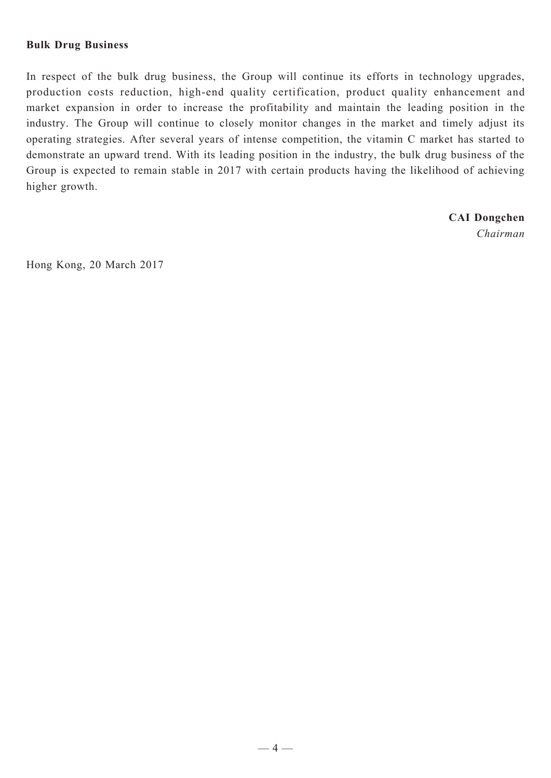### **Bulk Drug Business**

In respect of the bulk drug business, the Group will continue its efforts in technology upgrades, production costs reduction, high-end quality certification, product quality enhancement and market expansion in order to increase the profitability and maintain the leading position in the industry. The Group will continue to closely monitor changes in the market and timely adjust its operating strategies. After several years of intense competition, the vitamin C market has started to demonstrate an upward trend. With its leading position in the industry, the bulk drug business of the Group is expected to remain stable in 2017 with certain products having the likelihood of achieving higher growth.

> **CAI Dongchen** *Chairman*

Hong Kong, 20 March 2017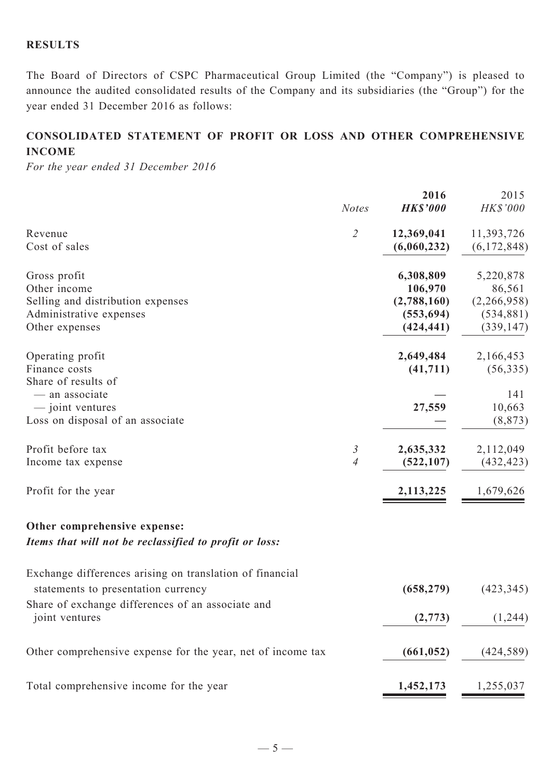## **RESULTS**

The Board of Directors of CSPC Pharmaceutical Group Limited (the "Company") is pleased to announce the audited consolidated results of the Company and its subsidiaries (the "Group") for the year ended 31 December 2016 as follows:

# **CONSOLIDATED STATEMENT OF profit or loss AND OTHER COMPREHENSIVE INCOME**

*For the year ended 31 December 2016*

|                                                                                                                | <b>Notes</b>                  | 2016<br><b>HK\$'000</b>                                         | 2015<br>HK\$'000                                               |
|----------------------------------------------------------------------------------------------------------------|-------------------------------|-----------------------------------------------------------------|----------------------------------------------------------------|
| Revenue<br>Cost of sales                                                                                       | $\overline{2}$                | 12,369,041<br>(6,060,232)                                       | 11,393,726<br>(6,172,848)                                      |
| Gross profit<br>Other income<br>Selling and distribution expenses<br>Administrative expenses<br>Other expenses |                               | 6,308,809<br>106,970<br>(2,788,160)<br>(553, 694)<br>(424, 441) | 5,220,878<br>86,561<br>(2,266,958)<br>(534, 881)<br>(339, 147) |
| Operating profit<br>Finance costs<br>Share of results of                                                       |                               | 2,649,484<br>(41, 711)                                          | 2,166,453<br>(56, 335)                                         |
| - an associate<br>— joint ventures<br>Loss on disposal of an associate                                         |                               | 27,559                                                          | 141<br>10,663<br>(8, 873)                                      |
| Profit before tax<br>Income tax expense                                                                        | 3<br>$\overline{\mathcal{A}}$ | 2,635,332<br>(522, 107)                                         | 2,112,049<br>(432, 423)                                        |
| Profit for the year                                                                                            |                               | 2,113,225                                                       | 1,679,626                                                      |
| Other comprehensive expense:<br>Items that will not be reclassified to profit or loss:                         |                               |                                                                 |                                                                |
| Exchange differences arising on translation of financial<br>statements to presentation currency                |                               | (658, 279)                                                      | (423, 345)                                                     |
| Share of exchange differences of an associate and<br>joint ventures                                            |                               | (2,773)                                                         | (1,244)                                                        |
| Other comprehensive expense for the year, net of income tax                                                    |                               | (661, 052)                                                      | (424, 589)                                                     |
| Total comprehensive income for the year                                                                        |                               | 1,452,173                                                       | 1,255,037                                                      |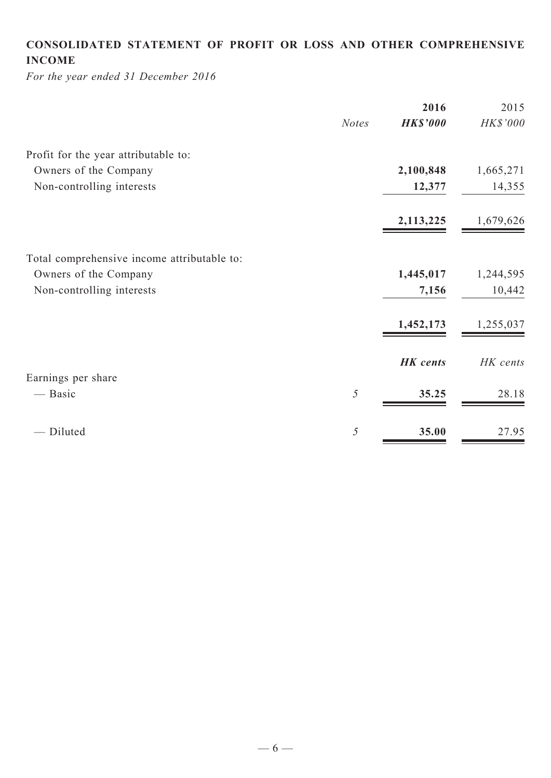# **CONSOLIDATED STATEMENT OF profit or loss and Other COMPREHENSIVE INCOME**

*For the year ended 31 December 2016*

|              | 2016            | 2015      |
|--------------|-----------------|-----------|
| <b>Notes</b> | <b>HK\$'000</b> | HK\$'000  |
|              |                 |           |
|              | 2,100,848       | 1,665,271 |
|              | 12,377          | 14,355    |
|              | 2,113,225       | 1,679,626 |
|              |                 |           |
|              | 1,445,017       | 1,244,595 |
|              | 7,156           | 10,442    |
|              | 1,452,173       | 1,255,037 |
|              | <b>HK</b> cents | HK cents  |
|              |                 |           |
| 5            | 35.25           | 28.18     |
| 5            | 35.00           | 27.95     |
|              |                 |           |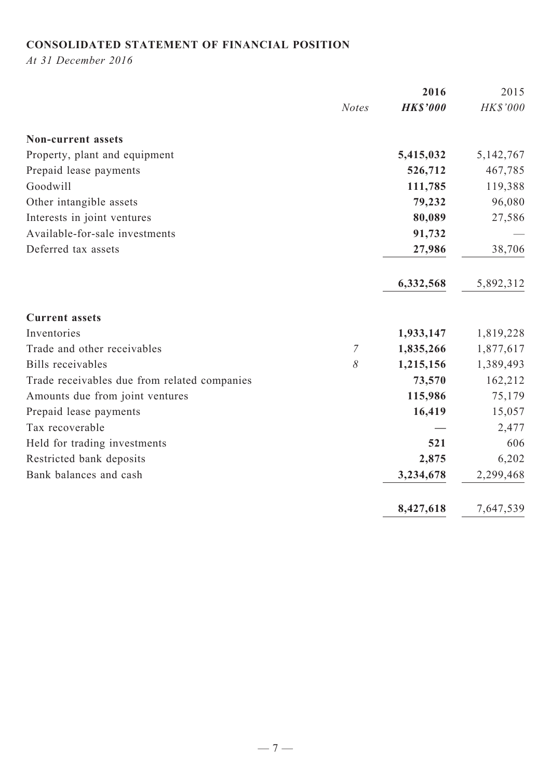# **CONSOLIDATED STATEMENT OF FINANCIAL POSITION**

*At 31 December 2016*

|                                              |                | 2016            | 2015        |
|----------------------------------------------|----------------|-----------------|-------------|
|                                              | <b>Notes</b>   | <b>HK\$'000</b> | HK\$'000    |
| <b>Non-current assets</b>                    |                |                 |             |
| Property, plant and equipment                |                | 5,415,032       | 5, 142, 767 |
| Prepaid lease payments                       |                | 526,712         | 467,785     |
| Goodwill                                     |                | 111,785         | 119,388     |
| Other intangible assets                      |                | 79,232          | 96,080      |
| Interests in joint ventures                  |                | 80,089          | 27,586      |
| Available-for-sale investments               |                | 91,732          |             |
| Deferred tax assets                          |                | 27,986          | 38,706      |
|                                              |                | 6,332,568       | 5,892,312   |
| <b>Current assets</b>                        |                |                 |             |
| Inventories                                  |                | 1,933,147       | 1,819,228   |
| Trade and other receivables                  | $\overline{7}$ | 1,835,266       | 1,877,617   |
| Bills receivables                            | 8              | 1,215,156       | 1,389,493   |
| Trade receivables due from related companies |                | 73,570          | 162,212     |
| Amounts due from joint ventures              |                | 115,986         | 75,179      |
| Prepaid lease payments                       |                | 16,419          | 15,057      |
| Tax recoverable                              |                |                 | 2,477       |
| Held for trading investments                 |                | 521             | 606         |
| Restricted bank deposits                     |                | 2,875           | 6,202       |
| Bank balances and cash                       |                | 3,234,678       | 2,299,468   |
|                                              |                | 8,427,618       | 7,647,539   |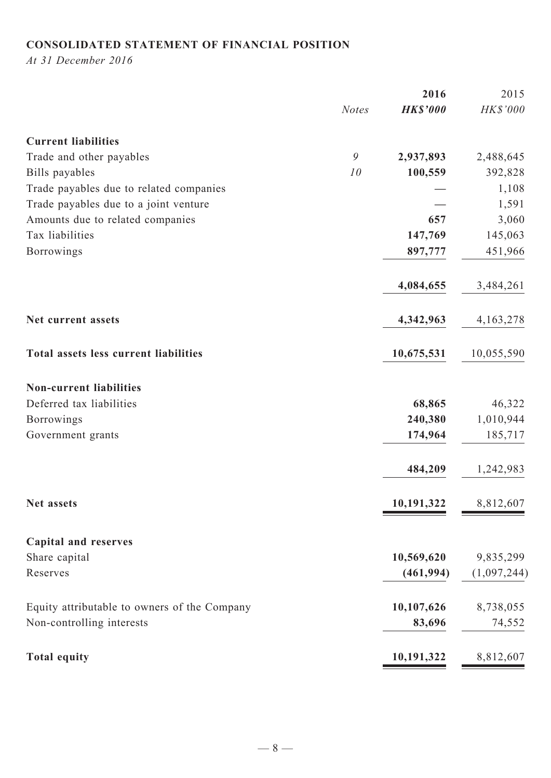# **CONSOLIDATED STATEMENT OF FINANCIAL POSITION**

*At 31 December 2016*

|                                              | 2016            | 2015        |
|----------------------------------------------|-----------------|-------------|
| <b>Notes</b>                                 | <b>HK\$'000</b> | HK\$'000    |
| <b>Current liabilities</b>                   |                 |             |
| 9<br>Trade and other payables                | 2,937,893       | 2,488,645   |
| Bills payables<br>10                         | 100,559         | 392,828     |
| Trade payables due to related companies      |                 | 1,108       |
| Trade payables due to a joint venture        |                 | 1,591       |
| Amounts due to related companies             | 657             | 3,060       |
| Tax liabilities                              | 147,769         | 145,063     |
| Borrowings                                   | 897,777         | 451,966     |
|                                              | 4,084,655       | 3,484,261   |
| Net current assets                           | 4,342,963       | 4, 163, 278 |
| Total assets less current liabilities        | 10,675,531      | 10,055,590  |
| <b>Non-current liabilities</b>               |                 |             |
| Deferred tax liabilities                     | 68,865          | 46,322      |
| <b>Borrowings</b>                            | 240,380         | 1,010,944   |
| Government grants                            | 174,964         | 185,717     |
|                                              | 484,209         | 1,242,983   |
| Net assets                                   | 10,191,322      | 8,812,607   |
| <b>Capital and reserves</b>                  |                 |             |
| Share capital                                | 10,569,620      | 9,835,299   |
| Reserves                                     | (461, 994)      | (1,097,244) |
| Equity attributable to owners of the Company | 10,107,626      | 8,738,055   |
| Non-controlling interests                    | 83,696          | 74,552      |
| <b>Total equity</b>                          | 10,191,322      | 8,812,607   |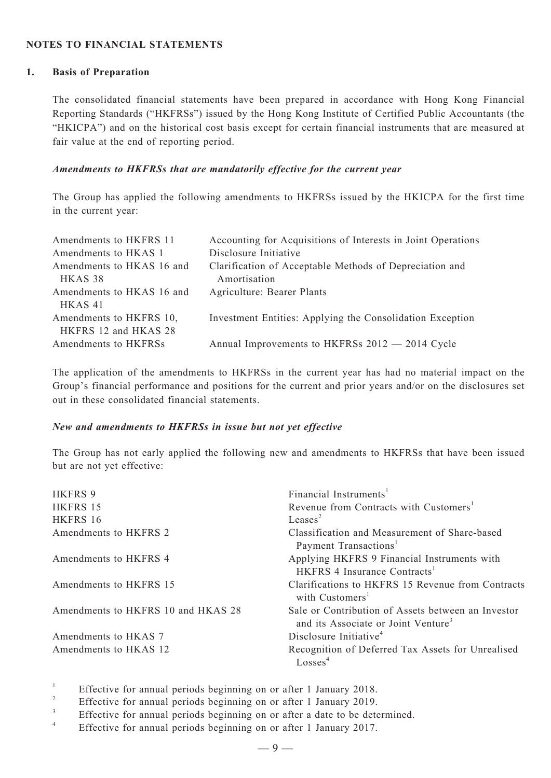#### **NOTES TO FINANCIAL STATEMENTS**

#### **1. Basis of Preparation**

The consolidated financial statements have been prepared in accordance with Hong Kong Financial Reporting Standards ("HKFRSs") issued by the Hong Kong Institute of Certified Public Accountants (the "HKICPA") and on the historical cost basis except for certain financial instruments that are measured at fair value at the end of reporting period.

#### *Amendments to HKFRSs that are mandatorily effective for the current year*

The Group has applied the following amendments to HKFRSs issued by the HKICPA for the first time in the current year:

| Amendments to HKFRS 11    | Accounting for Acquisitions of Interests in Joint Operations |
|---------------------------|--------------------------------------------------------------|
| Amendments to HKAS 1      | Disclosure Initiative                                        |
| Amendments to HKAS 16 and | Clarification of Acceptable Methods of Depreciation and      |
| HKAS 38                   | Amortisation                                                 |
| Amendments to HKAS 16 and | Agriculture: Bearer Plants                                   |
| HKAS <sub>41</sub>        |                                                              |
| Amendments to HKFRS 10,   | Investment Entities: Applying the Consolidation Exception    |
| HKFRS 12 and HKAS 28      |                                                              |
| Amendments to HKFRSs      | Annual Improvements to HKFRSs 2012 — 2014 Cycle              |

The application of the amendments to HKFRSs in the current year has had no material impact on the Group's financial performance and positions for the current and prior years and/or on the disclosures set out in these consolidated financial statements.

#### *New and amendments to HKFRSs in issue but not yet effective*

The Group has not early applied the following new and amendments to HKFRSs that have been issued but are not yet effective:

| <b>HKFRS 9</b>                     | Financial Instruments <sup>1</sup>                                                                    |
|------------------------------------|-------------------------------------------------------------------------------------------------------|
| HKFRS 15                           | Revenue from Contracts with Customers <sup>1</sup>                                                    |
| HKFRS 16                           | Leases <sup>2</sup>                                                                                   |
| Amendments to HKFRS 2              | Classification and Measurement of Share-based<br>Payment Transactions <sup>1</sup>                    |
| Amendments to HKFRS 4              | Applying HKFRS 9 Financial Instruments with<br>HKFRS 4 Insurance Contracts <sup>1</sup>               |
| Amendments to HKFRS 15             | Clarifications to HKFRS 15 Revenue from Contracts<br>with Customers <sup>1</sup>                      |
| Amendments to HKFRS 10 and HKAS 28 | Sale or Contribution of Assets between an Investor<br>and its Associate or Joint Venture <sup>3</sup> |
| Amendments to HKAS 7               | Disclosure Initiative <sup>4</sup>                                                                    |
| Amendments to HKAS 12              | Recognition of Deferred Tax Assets for Unrealised<br>Losses <sup>4</sup>                              |

<sup>1</sup> Effective for annual periods beginning on or after 1 January 2018.

- <sup>2</sup> Effective for annual periods beginning on or after 1 January 2019.
- $3$  Effective for annual periods beginning on or after a date to be determined.
- Effective for annual periods beginning on or after 1 January 2017.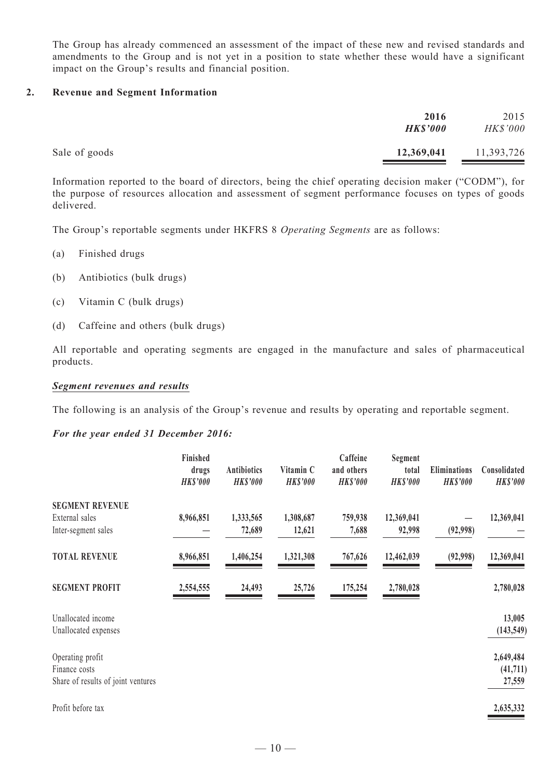The Group has already commenced an assessment of the impact of these new and revised standards and amendments to the Group and is not yet in a position to state whether these would have a significant impact on the Group's results and financial position.

#### **2. Revenue and Segment Information**

|               | 2016<br><b>HK\$'000</b> | 2015<br><b>HK\$'000</b> |
|---------------|-------------------------|-------------------------|
| Sale of goods | 12,369,041              | 11,393,726              |

Information reported to the board of directors, being the chief operating decision maker ("CODM"), for the purpose of resources allocation and assessment of segment performance focuses on types of goods delivered.

The Group's reportable segments under HKFRS 8 *Operating Segments* are as follows:

- (a) Finished drugs
- (b) Antibiotics (bulk drugs)
- (c) Vitamin C (bulk drugs)
- (d) Caffeine and others (bulk drugs)

All reportable and operating segments are engaged in the manufacture and sales of pharmaceutical products.

#### *Segment revenues and results*

The following is an analysis of the Group's revenue and results by operating and reportable segment.

#### *For the year ended 31 December 2016:*

|                                                                         | Finished<br>drugs<br><b>HK\$'000</b> | <b>Antibiotics</b><br><b>HK\$'000</b> | Vitamin C<br><b>HK\$'000</b> | Caffeine<br>and others<br><b>HK\$'000</b> | Segment<br>total<br><b>HK\$'000</b> | Eliminations<br><b>HK\$'000</b> | Consolidated<br><b>HK\$'000</b>  |
|-------------------------------------------------------------------------|--------------------------------------|---------------------------------------|------------------------------|-------------------------------------------|-------------------------------------|---------------------------------|----------------------------------|
| <b>SEGMENT REVENUE</b>                                                  |                                      |                                       |                              |                                           |                                     |                                 |                                  |
| External sales<br>Inter-segment sales                                   | 8,966,851                            | 1,333,565<br>72,689                   | 1,308,687<br>12,621          | 759,938<br>7,688                          | 12,369,041<br>92,998                | (92,998)                        | 12,369,041                       |
| <b>TOTAL REVENUE</b>                                                    | 8,966,851                            | 1,406,254                             | 1,321,308                    | 767,626                                   | 12,462,039                          | (92,998)                        | 12,369,041                       |
| <b>SEGMENT PROFIT</b>                                                   | 2,554,555                            | 24,493                                | 25,726                       | 175,254                                   | 2,780,028                           |                                 | 2,780,028                        |
| Unallocated income<br>Unallocated expenses                              |                                      |                                       |                              |                                           |                                     |                                 | 13,005<br>(143, 549)             |
| Operating profit<br>Finance costs<br>Share of results of joint ventures |                                      |                                       |                              |                                           |                                     |                                 | 2,649,484<br>(41, 711)<br>27,559 |
| Profit before tax                                                       |                                      |                                       |                              |                                           |                                     |                                 | 2,635,332                        |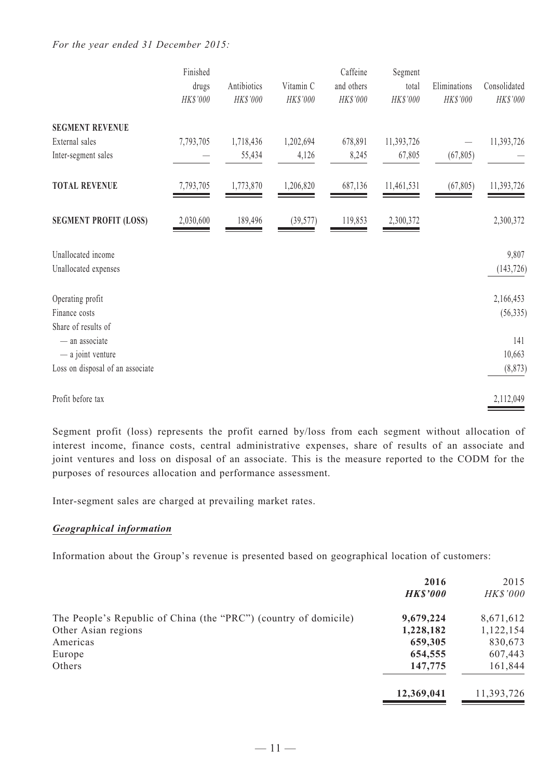#### *For the year ended 31 December 2015:*

|                                  | Finished  |             |           | Caffeine   | Segment    |              |              |
|----------------------------------|-----------|-------------|-----------|------------|------------|--------------|--------------|
|                                  | drugs     | Antibiotics | Vitamin C | and others | total      | Eliminations | Consolidated |
|                                  | HK\$'000  | HK\$'000    | HK\$'000  | HK\$'000   | HK\$'000   | HK\$'000     | HK\$'000     |
| <b>SEGMENT REVENUE</b>           |           |             |           |            |            |              |              |
| External sales                   | 7,793,705 | 1,718,436   | 1,202,694 | 678,891    | 11,393,726 |              | 11,393,726   |
| Inter-segment sales              |           | 55,434      | 4,126     | 8,245      | 67,805     | (67, 805)    |              |
| <b>TOTAL REVENUE</b>             | 7,793,705 | 1,773,870   | 1,206,820 | 687,136    | 11,461,531 | (67, 805)    | 11,393,726   |
| <b>SEGMENT PROFIT (LOSS)</b>     | 2,030,600 | 189,496     | (39, 577) | 119,853    | 2,300,372  |              | 2,300,372    |
| Unallocated income               |           |             |           |            |            |              | 9,807        |
| Unallocated expenses             |           |             |           |            |            |              | (143, 726)   |
| Operating profit                 |           |             |           |            |            |              | 2,166,453    |
| Finance costs                    |           |             |           |            |            |              | (56, 335)    |
| Share of results of              |           |             |           |            |            |              |              |
| - an associate                   |           |             |           |            |            |              | 141          |
| - a joint venture                |           |             |           |            |            |              | 10,663       |
| Loss on disposal of an associate |           |             |           |            |            |              | (8, 873)     |
| Profit before tax                |           |             |           |            |            |              | 2,112,049    |

Segment profit (loss) represents the profit earned by/loss from each segment without allocation of interest income, finance costs, central administrative expenses, share of results of an associate and joint ventures and loss on disposal of an associate. This is the measure reported to the CODM for the purposes of resources allocation and performance assessment.

Inter-segment sales are charged at prevailing market rates.

#### *Geographical information*

Information about the Group's revenue is presented based on geographical location of customers:

|                                                                  | 2016            | 2015            |
|------------------------------------------------------------------|-----------------|-----------------|
|                                                                  | <b>HK\$'000</b> | <b>HK\$'000</b> |
| The People's Republic of China (the "PRC") (country of domicile) | 9,679,224       | 8,671,612       |
| Other Asian regions                                              | 1,228,182       | 1,122,154       |
| Americas                                                         | 659,305         | 830,673         |
| Europe                                                           | 654,555         | 607,443         |
| Others                                                           | 147,775         | 161,844         |
|                                                                  | 12,369,041      | 11,393,726      |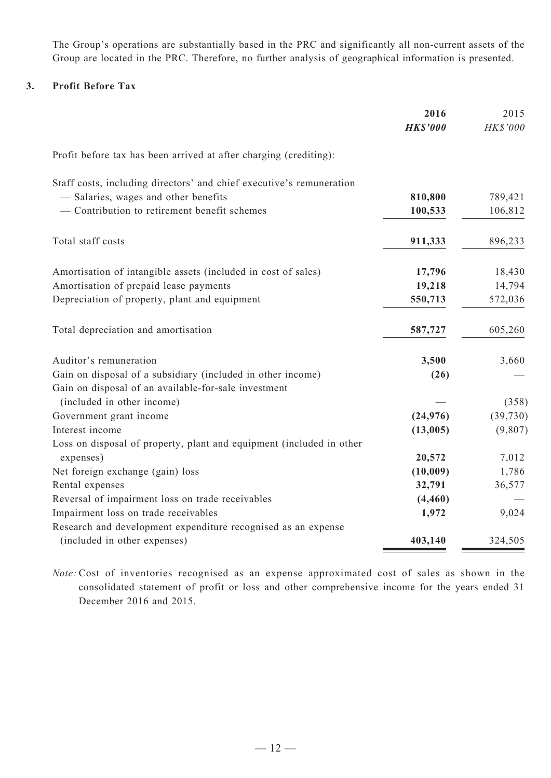The Group's operations are substantially based in the PRC and significantly all non-current assets of the Group are located in the PRC. Therefore, no further analysis of geographical information is presented.

#### **3. Profit Before Tax**

|                                                                      | 2016            | 2015      |
|----------------------------------------------------------------------|-----------------|-----------|
|                                                                      | <b>HK\$'000</b> | HK\$'000  |
| Profit before tax has been arrived at after charging (crediting):    |                 |           |
| Staff costs, including directors' and chief executive's remuneration |                 |           |
| - Salaries, wages and other benefits                                 | 810,800         | 789,421   |
| - Contribution to retirement benefit schemes                         | 100,533         | 106,812   |
| Total staff costs                                                    | 911,333         | 896,233   |
| Amortisation of intangible assets (included in cost of sales)        | 17,796          | 18,430    |
| Amortisation of prepaid lease payments                               | 19,218          | 14,794    |
| Depreciation of property, plant and equipment                        | 550,713         | 572,036   |
| Total depreciation and amortisation                                  | 587,727         | 605,260   |
| Auditor's remuneration                                               | 3,500           | 3,660     |
| Gain on disposal of a subsidiary (included in other income)          | (26)            |           |
| Gain on disposal of an available-for-sale investment                 |                 |           |
| (included in other income)                                           |                 | (358)     |
| Government grant income                                              | (24, 976)       | (39, 730) |
| Interest income                                                      | (13,005)        | (9,807)   |
| Loss on disposal of property, plant and equipment (included in other |                 |           |
| expenses)                                                            | 20,572          | 7,012     |
| Net foreign exchange (gain) loss                                     | (10,009)        | 1,786     |
| Rental expenses                                                      | 32,791          | 36,577    |
| Reversal of impairment loss on trade receivables                     | (4, 460)        |           |
| Impairment loss on trade receivables                                 | 1,972           | 9,024     |
| Research and development expenditure recognised as an expense        |                 |           |
| (included in other expenses)                                         | 403,140         | 324,505   |

*Note:* Cost of inventories recognised as an expense approximated cost of sales as shown in the consolidated statement of profit or loss and other comprehensive income for the years ended 31 December 2016 and 2015.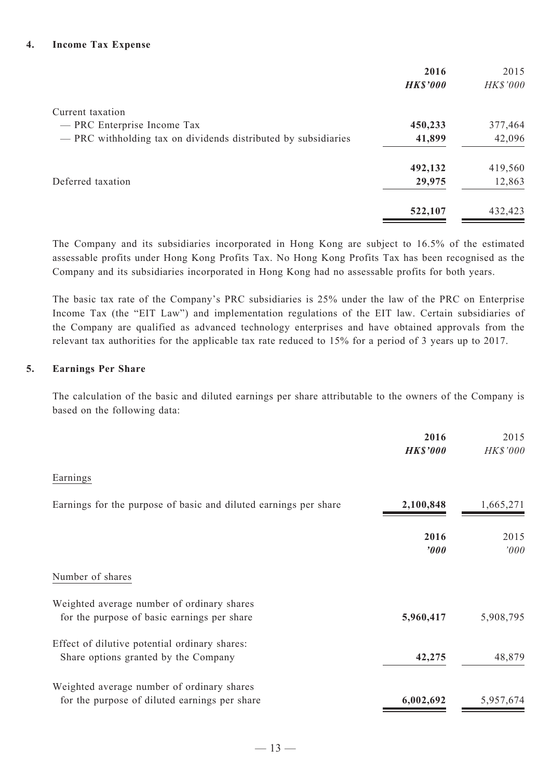|                                                                | 2016<br><b>HK\$'000</b> | 2015<br>HK\$'000 |
|----------------------------------------------------------------|-------------------------|------------------|
| Current taxation                                               |                         |                  |
| — PRC Enterprise Income Tax                                    | 450,233                 | 377,464          |
| - PRC withholding tax on dividends distributed by subsidiaries | 41,899                  | 42,096           |
|                                                                | 492,132                 | 419,560          |
| Deferred taxation                                              | 29,975                  | 12,863           |
|                                                                | 522,107                 | 432,423          |

The Company and its subsidiaries incorporated in Hong Kong are subject to 16.5% of the estimated assessable profits under Hong Kong Profits Tax. No Hong Kong Profits Tax has been recognised as the Company and its subsidiaries incorporated in Hong Kong had no assessable profits for both years.

The basic tax rate of the Company's PRC subsidiaries is 25% under the law of the PRC on Enterprise Income Tax (the "EIT Law") and implementation regulations of the EIT law. Certain subsidiaries of the Company are qualified as advanced technology enterprises and have obtained approvals from the relevant tax authorities for the applicable tax rate reduced to 15% for a period of 3 years up to 2017.

#### **5. Earnings Per Share**

The calculation of the basic and diluted earnings per share attributable to the owners of the Company is based on the following data:

|                                                                                             | 2016<br><b>HK\$'000</b>  | 2015<br><b>HK\$'000</b> |
|---------------------------------------------------------------------------------------------|--------------------------|-------------------------|
| Earnings                                                                                    |                          |                         |
| Earnings for the purpose of basic and diluted earnings per share                            | 2,100,848                | 1,665,271               |
|                                                                                             | 2016<br>$\boldsymbol{v}$ | 2015<br>'000            |
| Number of shares                                                                            |                          |                         |
| Weighted average number of ordinary shares<br>for the purpose of basic earnings per share   | 5,960,417                | 5,908,795               |
| Effect of dilutive potential ordinary shares:<br>Share options granted by the Company       | 42,275                   | 48,879                  |
| Weighted average number of ordinary shares<br>for the purpose of diluted earnings per share | 6,002,692                | 5,957,674               |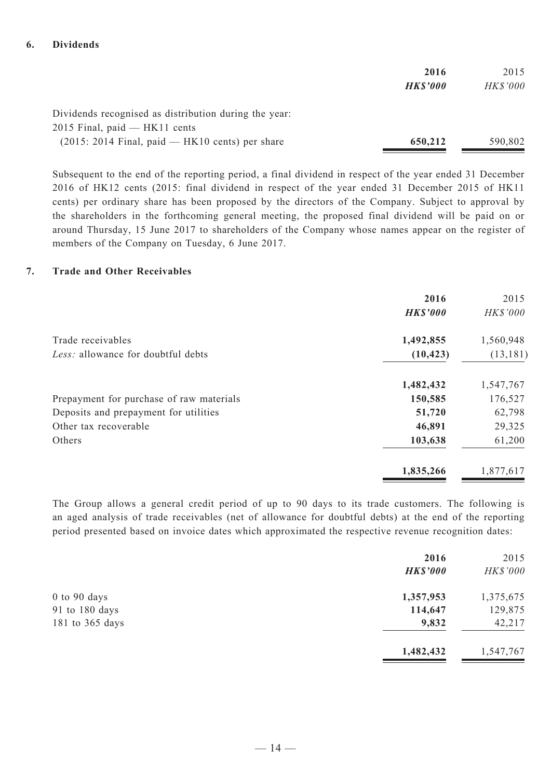|                                                       | 2016            | 2015     |
|-------------------------------------------------------|-----------------|----------|
|                                                       | <b>HK\$'000</b> | HK\$'000 |
| Dividends recognised as distribution during the year: |                 |          |
| $2015$ Final, paid — HK11 cents                       |                 |          |
| $(2015: 2014$ Final, paid — HK10 cents) per share     | 650,212         | 590,802  |

Subsequent to the end of the reporting period, a final dividend in respect of the year ended 31 December 2016 of HK12 cents (2015: final dividend in respect of the year ended 31 December 2015 of HK11 cents) per ordinary share has been proposed by the directors of the Company. Subject to approval by the shareholders in the forthcoming general meeting, the proposed final dividend will be paid on or around Thursday, 15 June 2017 to shareholders of the Company whose names appear on the register of members of the Company on Tuesday, 6 June 2017.

#### **7. Trade and Other Receivables**

|                                          | 2016            | 2015      |
|------------------------------------------|-----------------|-----------|
|                                          | <b>HK\$'000</b> | HK\$'000  |
| Trade receivables                        | 1,492,855       | 1,560,948 |
| Less: allowance for doubtful debts       | (10, 423)       | (13, 181) |
|                                          | 1,482,432       | 1,547,767 |
| Prepayment for purchase of raw materials | 150,585         | 176,527   |
| Deposits and prepayment for utilities    | 51,720          | 62,798    |
| Other tax recoverable                    | 46,891          | 29,325    |
| Others                                   | 103,638         | 61,200    |
|                                          | 1,835,266       | 1,877,617 |

The Group allows a general credit period of up to 90 days to its trade customers. The following is an aged analysis of trade receivables (net of allowance for doubtful debts) at the end of the reporting period presented based on invoice dates which approximated the respective revenue recognition dates:

|                  | 2016<br><b>HK\$'000</b> | 2015<br>HK\$'000 |
|------------------|-------------------------|------------------|
| $0$ to $90$ days | 1,357,953               | 1,375,675        |
| 91 to 180 days   | 114,647                 | 129,875          |
| 181 to 365 days  | 9,832                   | 42,217           |
|                  | 1,482,432               | 1,547,767        |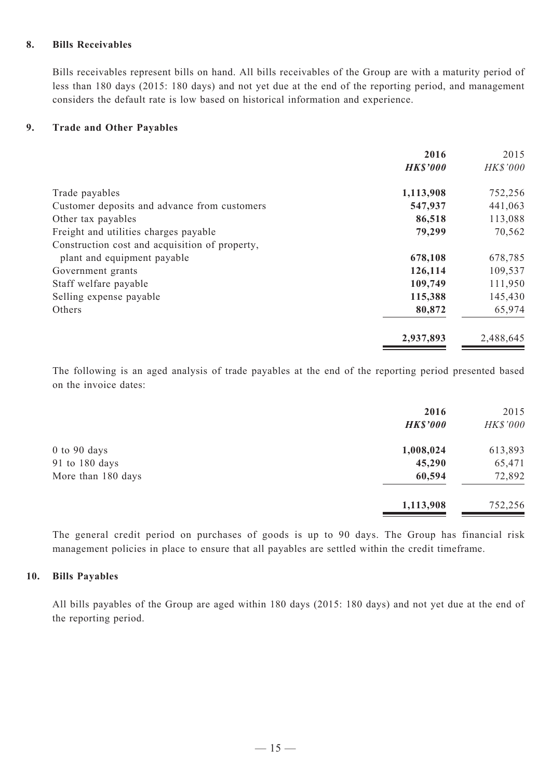#### **8. Bills Receivables**

Bills receivables represent bills on hand. All bills receivables of the Group are with a maturity period of less than 180 days (2015: 180 days) and not yet due at the end of the reporting period, and management considers the default rate is low based on historical information and experience.

### **9. Trade and Other Payables**

|                                                | 2016            | 2015      |
|------------------------------------------------|-----------------|-----------|
|                                                | <b>HK\$'000</b> | HK\$'000  |
| Trade payables                                 | 1,113,908       | 752,256   |
| Customer deposits and advance from customers   | 547,937         | 441,063   |
| Other tax payables                             | 86,518          | 113,088   |
| Freight and utilities charges payable          | 79,299          | 70,562    |
| Construction cost and acquisition of property, |                 |           |
| plant and equipment payable                    | 678,108         | 678,785   |
| Government grants                              | 126,114         | 109,537   |
| Staff welfare payable                          | 109,749         | 111,950   |
| Selling expense payable                        | 115,388         | 145,430   |
| Others                                         | 80,872          | 65,974    |
|                                                | 2,937,893       | 2,488,645 |

The following is an aged analysis of trade payables at the end of the reporting period presented based on the invoice dates:

|                    | 2016<br><b>HK\$'000</b> | 2015<br>HK\$'000 |
|--------------------|-------------------------|------------------|
| $0$ to $90$ days   | 1,008,024               | 613,893          |
| 91 to 180 days     | 45,290                  | 65,471           |
| More than 180 days | 60,594                  | 72,892           |
|                    | 1,113,908               | 752,256          |

The general credit period on purchases of goods is up to 90 days. The Group has financial risk management policies in place to ensure that all payables are settled within the credit timeframe.

#### **10. Bills Payables**

All bills payables of the Group are aged within 180 days (2015: 180 days) and not yet due at the end of the reporting period.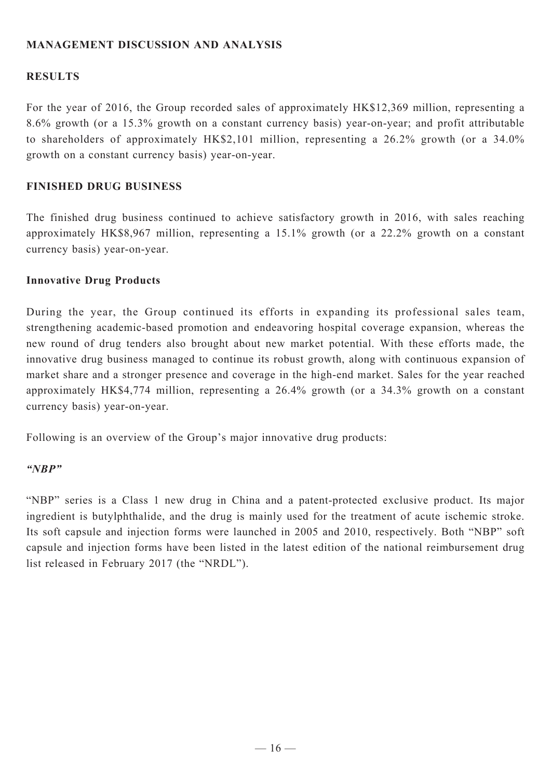# **MANAGEMENT DISCUSSION AND ANALYSIS**

# **RESULTS**

For the year of 2016, the Group recorded sales of approximately HK\$12,369 million, representing a 8.6% growth (or a 15.3% growth on a constant currency basis) year-on-year; and profit attributable to shareholders of approximately HK\$2,101 million, representing a 26.2% growth (or a 34.0% growth on a constant currency basis) year-on-year.

## **FINISHED DRUG BUSINESS**

The finished drug business continued to achieve satisfactory growth in 2016, with sales reaching approximately HK\$8,967 million, representing a 15.1% growth (or a 22.2% growth on a constant currency basis) year-on-year.

### **Innovative Drug Products**

During the year, the Group continued its efforts in expanding its professional sales team, strengthening academic-based promotion and endeavoring hospital coverage expansion, whereas the new round of drug tenders also brought about new market potential. With these efforts made, the innovative drug business managed to continue its robust growth, along with continuous expansion of market share and a stronger presence and coverage in the high-end market. Sales for the year reached approximately HK\$4,774 million, representing a 26.4% growth (or a 34.3% growth on a constant currency basis) year-on-year.

Following is an overview of the Group's major innovative drug products:

### *"NBP"*

"NBP" series is a Class 1 new drug in China and a patent-protected exclusive product. Its major ingredient is butylphthalide, and the drug is mainly used for the treatment of acute ischemic stroke. Its soft capsule and injection forms were launched in 2005 and 2010, respectively. Both "NBP" soft capsule and injection forms have been listed in the latest edition of the national reimbursement drug list released in February 2017 (the "NRDL").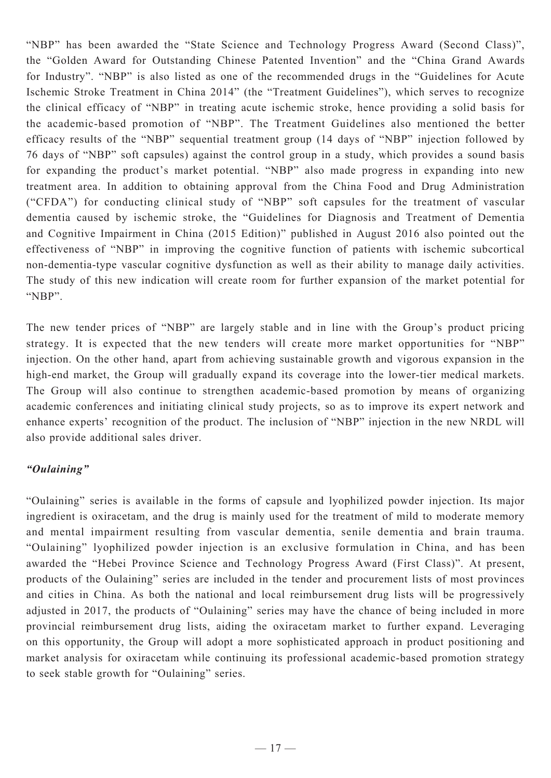"NBP" has been awarded the "State Science and Technology Progress Award (Second Class)", the "Golden Award for Outstanding Chinese Patented Invention" and the "China Grand Awards for Industry". "NBP" is also listed as one of the recommended drugs in the "Guidelines for Acute Ischemic Stroke Treatment in China 2014" (the "Treatment Guidelines"), which serves to recognize the clinical efficacy of "NBP" in treating acute ischemic stroke, hence providing a solid basis for the academic-based promotion of "NBP". The Treatment Guidelines also mentioned the better efficacy results of the "NBP" sequential treatment group (14 days of "NBP" injection followed by 76 days of "NBP" soft capsules) against the control group in a study, which provides a sound basis for expanding the product's market potential. "NBP" also made progress in expanding into new treatment area. In addition to obtaining approval from the China Food and Drug Administration ("CFDA") for conducting clinical study of "NBP" soft capsules for the treatment of vascular dementia caused by ischemic stroke, the "Guidelines for Diagnosis and Treatment of Dementia and Cognitive Impairment in China (2015 Edition)" published in August 2016 also pointed out the effectiveness of "NBP" in improving the cognitive function of patients with ischemic subcortical non-dementia-type vascular cognitive dysfunction as well as their ability to manage daily activities. The study of this new indication will create room for further expansion of the market potential for "NBP".

The new tender prices of "NBP" are largely stable and in line with the Group's product pricing strategy. It is expected that the new tenders will create more market opportunities for "NBP" injection. On the other hand, apart from achieving sustainable growth and vigorous expansion in the high-end market, the Group will gradually expand its coverage into the lower-tier medical markets. The Group will also continue to strengthen academic-based promotion by means of organizing academic conferences and initiating clinical study projects, so as to improve its expert network and enhance experts' recognition of the product. The inclusion of "NBP" injection in the new NRDL will also provide additional sales driver.

# *"Oulaining"*

"Oulaining" series is available in the forms of capsule and lyophilized powder injection. Its major ingredient is oxiracetam, and the drug is mainly used for the treatment of mild to moderate memory and mental impairment resulting from vascular dementia, senile dementia and brain trauma. "Oulaining" lyophilized powder injection is an exclusive formulation in China, and has been awarded the "Hebei Province Science and Technology Progress Award (First Class)". At present, products of the Oulaining" series are included in the tender and procurement lists of most provinces and cities in China. As both the national and local reimbursement drug lists will be progressively adjusted in 2017, the products of "Oulaining" series may have the chance of being included in more provincial reimbursement drug lists, aiding the oxiracetam market to further expand. Leveraging on this opportunity, the Group will adopt a more sophisticated approach in product positioning and market analysis for oxiracetam while continuing its professional academic-based promotion strategy to seek stable growth for "Oulaining" series.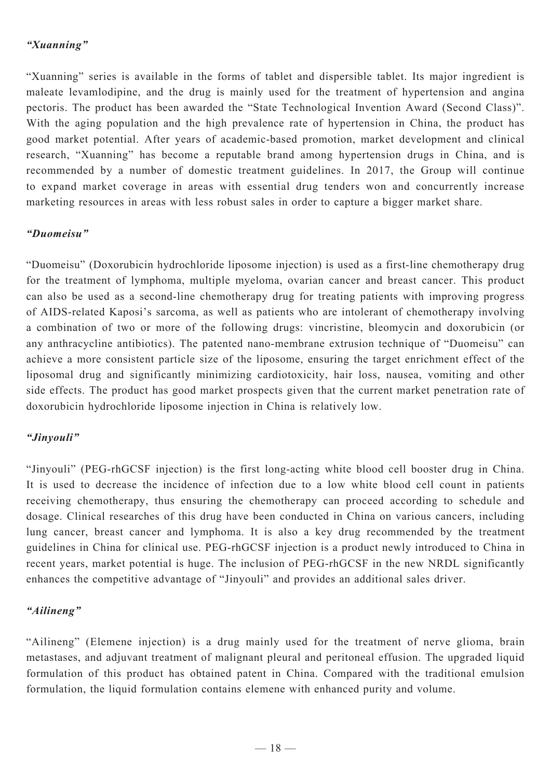# *"Xuanning"*

"Xuanning" series is available in the forms of tablet and dispersible tablet. Its major ingredient is maleate levamlodipine, and the drug is mainly used for the treatment of hypertension and angina pectoris. The product has been awarded the "State Technological Invention Award (Second Class)". With the aging population and the high prevalence rate of hypertension in China, the product has good market potential. After years of academic-based promotion, market development and clinical research, "Xuanning" has become a reputable brand among hypertension drugs in China, and is recommended by a number of domestic treatment guidelines. In 2017, the Group will continue to expand market coverage in areas with essential drug tenders won and concurrently increase marketing resources in areas with less robust sales in order to capture a bigger market share.

# *"Duomeisu"*

"Duomeisu" (Doxorubicin hydrochloride liposome injection) is used as a first-line chemotherapy drug for the treatment of lymphoma, multiple myeloma, ovarian cancer and breast cancer. This product can also be used as a second-line chemotherapy drug for treating patients with improving progress of AIDS-related Kaposi's sarcoma, as well as patients who are intolerant of chemotherapy involving a combination of two or more of the following drugs: vincristine, bleomycin and doxorubicin (or any anthracycline antibiotics). The patented nano-membrane extrusion technique of "Duomeisu" can achieve a more consistent particle size of the liposome, ensuring the target enrichment effect of the liposomal drug and significantly minimizing cardiotoxicity, hair loss, nausea, vomiting and other side effects. The product has good market prospects given that the current market penetration rate of doxorubicin hydrochloride liposome injection in China is relatively low.

# *"Jinyouli"*

"Jinyouli" (PEG-rhGCSF injection) is the first long-acting white blood cell booster drug in China. It is used to decrease the incidence of infection due to a low white blood cell count in patients receiving chemotherapy, thus ensuring the chemotherapy can proceed according to schedule and dosage. Clinical researches of this drug have been conducted in China on various cancers, including lung cancer, breast cancer and lymphoma. It is also a key drug recommended by the treatment guidelines in China for clinical use. PEG-rhGCSF injection is a product newly introduced to China in recent years, market potential is huge. The inclusion of PEG-rhGCSF in the new NRDL significantly enhances the competitive advantage of "Jinyouli" and provides an additional sales driver.

# *"Ailineng"*

"Ailineng" (Elemene injection) is a drug mainly used for the treatment of nerve glioma, brain metastases, and adjuvant treatment of malignant pleural and peritoneal effusion. The upgraded liquid formulation of this product has obtained patent in China. Compared with the traditional emulsion formulation, the liquid formulation contains elemene with enhanced purity and volume.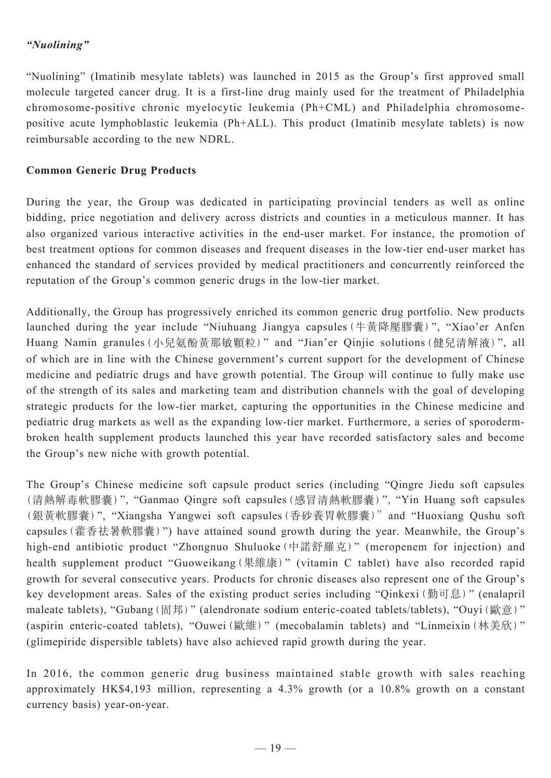# *"Nuolining"*

"Nuolining" (Imatinib mesylate tablets) was launched in 2015 as the Group's first approved small molecule targeted cancer drug. It is a first-line drug mainly used for the treatment of Philadelphia chromosome-positive chronic myelocytic leukemia (Ph+CML) and Philadelphia chromosomepositive acute lymphoblastic leukemia (Ph+ALL). This product (Imatinib mesylate tablets) is now reimbursable according to the new NDRL.

# **Common Generic Drug Products**

During the year, the Group was dedicated in participating provincial tenders as well as online bidding, price negotiation and delivery across districts and counties in a meticulous manner. It has also organized various interactive activities in the end-user market. For instance, the promotion of best treatment options for common diseases and frequent diseases in the low-tier end-user market has enhanced the standard of services provided by medical practitioners and concurrently reinforced the reputation of the Group's common generic drugs in the low-tier market.

Additionally, the Group has progressively enriched its common generic drug portfolio. New products launched during the year include "Niuhuang Jiangya capsules(牛黃降壓膠囊)", "Xiao'er Anfen Huang Namin granules(小兒氨酚黃那敏顆粒)" and "Jian'er Qinjie solutions(健兒清解液)", all of which are in line with the Chinese government's current support for the development of Chinese medicine and pediatric drugs and have growth potential. The Group will continue to fully make use of the strength of its sales and marketing team and distribution channels with the goal of developing strategic products for the low-tier market, capturing the opportunities in the Chinese medicine and pediatric drug markets as well as the expanding low-tier market. Furthermore, a series of sporodermbroken health supplement products launched this year have recorded satisfactory sales and become the Group's new niche with growth potential.

The Group's Chinese medicine soft capsule product series (including "Qingre Jiedu soft capsules (清熱解毒軟膠囊)", "Ganmao Qingre soft capsules(感冒清熱軟膠囊)", "Yin Huang soft capsules (銀黃軟膠囊)", "Xiangsha Yangwei soft capsules(香砂養胃軟膠囊)" and "Huoxiang Qushu soft capsules(藿香祛暑軟膠囊)") have attained sound growth during the year. Meanwhile, the Group's high-end antibiotic product "Zhongnuo Shuluoke(中諾舒羅克)" (meropenem for injection) and health supplement product "Guoweikang (果維康)" (vitamin C tablet) have also recorded rapid growth for several consecutive years. Products for chronic diseases also represent one of the Group's key development areas. Sales of the existing product series including "Qinkexi(勤可息)" (enalapril maleate tablets), "Gubang (固邦)" (alendronate sodium enteric-coated tablets/tablets), "Ouyi (歐意)" (aspirin enteric-coated tablets), "Ouwei(歐維)" (mecobalamin tablets) and "Linmeixin(林美欣)" (glimepiride dispersible tablets) have also achieved rapid growth during the year.

In 2016, the common generic drug business maintained stable growth with sales reaching approximately HK\$4,193 million, representing a 4.3% growth (or a 10.8% growth on a constant currency basis) year-on-year.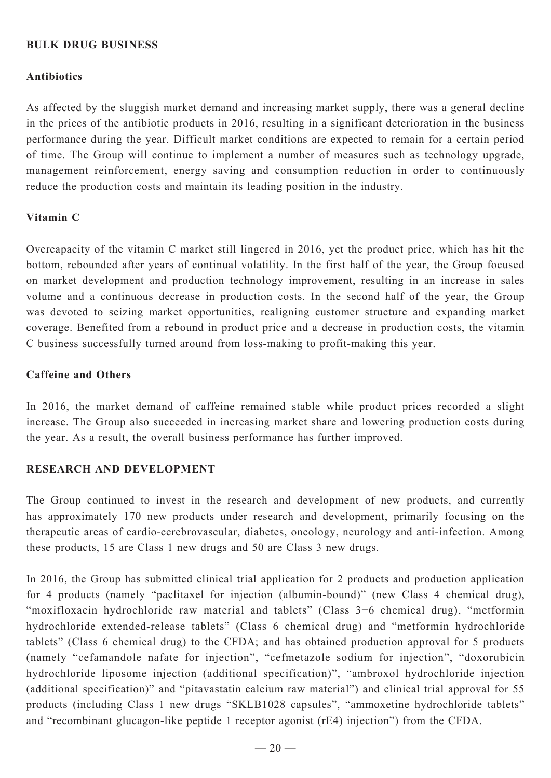# **BULK DRUG BUSINESS**

## **Antibiotics**

As affected by the sluggish market demand and increasing market supply, there was a general decline in the prices of the antibiotic products in 2016, resulting in a significant deterioration in the business performance during the year. Difficult market conditions are expected to remain for a certain period of time. The Group will continue to implement a number of measures such as technology upgrade, management reinforcement, energy saving and consumption reduction in order to continuously reduce the production costs and maintain its leading position in the industry.

# **Vitamin C**

Overcapacity of the vitamin C market still lingered in 2016, yet the product price, which has hit the bottom, rebounded after years of continual volatility. In the first half of the year, the Group focused on market development and production technology improvement, resulting in an increase in sales volume and a continuous decrease in production costs. In the second half of the year, the Group was devoted to seizing market opportunities, realigning customer structure and expanding market coverage. Benefited from a rebound in product price and a decrease in production costs, the vitamin C business successfully turned around from loss-making to profit-making this year.

### **Caffeine and Others**

In 2016, the market demand of caffeine remained stable while product prices recorded a slight increase. The Group also succeeded in increasing market share and lowering production costs during the year. As a result, the overall business performance has further improved.

### **RESEARCH AND DEVELOPMENT**

The Group continued to invest in the research and development of new products, and currently has approximately 170 new products under research and development, primarily focusing on the therapeutic areas of cardio-cerebrovascular, diabetes, oncology, neurology and anti-infection. Among these products, 15 are Class 1 new drugs and 50 are Class 3 new drugs.

In 2016, the Group has submitted clinical trial application for 2 products and production application for 4 products (namely "paclitaxel for injection (albumin-bound)" (new Class 4 chemical drug), "moxifloxacin hydrochloride raw material and tablets" (Class 3+6 chemical drug), "metformin hydrochloride extended-release tablets" (Class 6 chemical drug) and "metformin hydrochloride tablets" (Class 6 chemical drug) to the CFDA; and has obtained production approval for 5 products (namely "cefamandole nafate for injection", "cefmetazole sodium for injection", "doxorubicin hydrochloride liposome injection (additional specification)", "ambroxol hydrochloride injection (additional specification)" and "pitavastatin calcium raw material") and clinical trial approval for 55 products (including Class 1 new drugs "SKLB1028 capsules", "ammoxetine hydrochloride tablets" and "recombinant glucagon-like peptide 1 receptor agonist (rE4) injection") from the CFDA.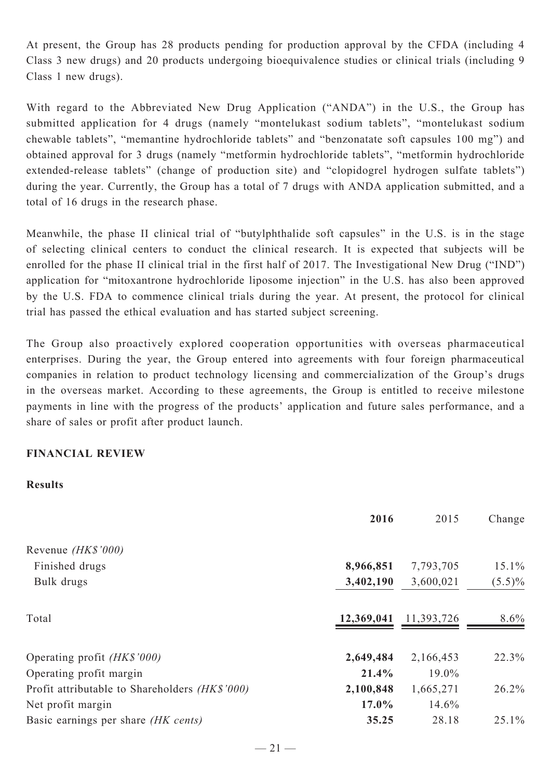At present, the Group has 28 products pending for production approval by the CFDA (including 4 Class 3 new drugs) and 20 products undergoing bioequivalence studies or clinical trials (including 9 Class 1 new drugs).

With regard to the Abbreviated New Drug Application ("ANDA") in the U.S., the Group has submitted application for 4 drugs (namely "montelukast sodium tablets", "montelukast sodium chewable tablets", "memantine hydrochloride tablets" and "benzonatate soft capsules 100 mg") and obtained approval for 3 drugs (namely "metformin hydrochloride tablets", "metformin hydrochloride extended-release tablets" (change of production site) and "clopidogrel hydrogen sulfate tablets") during the year. Currently, the Group has a total of 7 drugs with ANDA application submitted, and a total of 16 drugs in the research phase.

Meanwhile, the phase II clinical trial of "butylphthalide soft capsules" in the U.S. is in the stage of selecting clinical centers to conduct the clinical research. It is expected that subjects will be enrolled for the phase II clinical trial in the first half of 2017. The Investigational New Drug ("IND") application for "mitoxantrone hydrochloride liposome injection" in the U.S. has also been approved by the U.S. FDA to commence clinical trials during the year. At present, the protocol for clinical trial has passed the ethical evaluation and has started subject screening.

The Group also proactively explored cooperation opportunities with overseas pharmaceutical enterprises. During the year, the Group entered into agreements with four foreign pharmaceutical companies in relation to product technology licensing and commercialization of the Group's drugs in the overseas market. According to these agreements, the Group is entitled to receive milestone payments in line with the progress of the products' application and future sales performance, and a share of sales or profit after product launch.

### **FINANCIAL REVIEW**

#### **Results**

|                                                | 2016       | 2015       | Change    |
|------------------------------------------------|------------|------------|-----------|
| Revenue (HK\$'000)                             |            |            |           |
| Finished drugs                                 | 8,966,851  | 7,793,705  | 15.1%     |
| Bulk drugs                                     | 3,402,190  | 3,600,021  | $(5.5)\%$ |
| Total                                          | 12,369,041 | 11,393,726 | 8.6%      |
| Operating profit <i>(HK\$'000)</i>             | 2,649,484  | 2,166,453  | 22.3%     |
| Operating profit margin                        | 21.4%      | $19.0\%$   |           |
| Profit attributable to Shareholders (HK\$'000) | 2,100,848  | 1,665,271  | 26.2%     |
| Net profit margin                              | 17.0%      | 14.6%      |           |
| Basic earnings per share <i>(HK cents)</i>     | 35.25      | 28.18      | 25.1%     |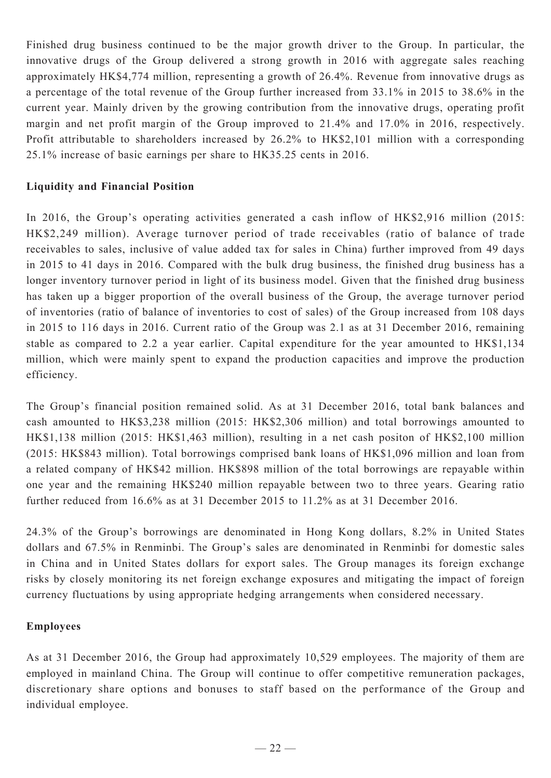Finished drug business continued to be the major growth driver to the Group. In particular, the innovative drugs of the Group delivered a strong growth in 2016 with aggregate sales reaching approximately HK\$4,774 million, representing a growth of 26.4%. Revenue from innovative drugs as a percentage of the total revenue of the Group further increased from 33.1% in 2015 to 38.6% in the current year. Mainly driven by the growing contribution from the innovative drugs, operating profit margin and net profit margin of the Group improved to 21.4% and 17.0% in 2016, respectively. Profit attributable to shareholders increased by 26.2% to HK\$2,101 million with a corresponding 25.1% increase of basic earnings per share to HK35.25 cents in 2016.

## **Liquidity and Financial Position**

In 2016, the Group's operating activities generated a cash inflow of HK\$2,916 million (2015: HK\$2,249 million). Average turnover period of trade receivables (ratio of balance of trade receivables to sales, inclusive of value added tax for sales in China) further improved from 49 days in 2015 to 41 days in 2016. Compared with the bulk drug business, the finished drug business has a longer inventory turnover period in light of its business model. Given that the finished drug business has taken up a bigger proportion of the overall business of the Group, the average turnover period of inventories (ratio of balance of inventories to cost of sales) of the Group increased from 108 days in 2015 to 116 days in 2016. Current ratio of the Group was 2.1 as at 31 December 2016, remaining stable as compared to 2.2 a year earlier. Capital expenditure for the year amounted to HK\$1,134 million, which were mainly spent to expand the production capacities and improve the production efficiency.

The Group's financial position remained solid. As at 31 December 2016, total bank balances and cash amounted to HK\$3,238 million (2015: HK\$2,306 million) and total borrowings amounted to HK\$1,138 million (2015: HK\$1,463 million), resulting in a net cash positon of HK\$2,100 million (2015: HK\$843 million). Total borrowings comprised bank loans of HK\$1,096 million and loan from a related company of HK\$42 million. HK\$898 million of the total borrowings are repayable within one year and the remaining HK\$240 million repayable between two to three years. Gearing ratio further reduced from 16.6% as at 31 December 2015 to 11.2% as at 31 December 2016.

24.3% of the Group's borrowings are denominated in Hong Kong dollars, 8.2% in United States dollars and 67.5% in Renminbi. The Group's sales are denominated in Renminbi for domestic sales in China and in United States dollars for export sales. The Group manages its foreign exchange risks by closely monitoring its net foreign exchange exposures and mitigating the impact of foreign currency fluctuations by using appropriate hedging arrangements when considered necessary.

### **Employees**

As at 31 December 2016, the Group had approximately 10,529 employees. The majority of them are employed in mainland China. The Group will continue to offer competitive remuneration packages, discretionary share options and bonuses to staff based on the performance of the Group and individual employee.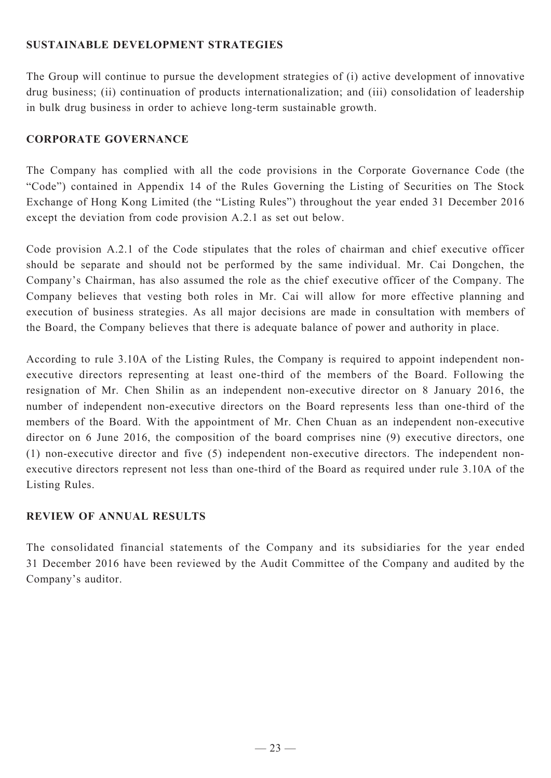# **SUSTAINABLE DEVELOPMENT STRATEGIES**

The Group will continue to pursue the development strategies of (i) active development of innovative drug business; (ii) continuation of products internationalization; and (iii) consolidation of leadership in bulk drug business in order to achieve long-term sustainable growth.

# **CORPORATE GOVERNANCE**

The Company has complied with all the code provisions in the Corporate Governance Code (the "Code") contained in Appendix 14 of the Rules Governing the Listing of Securities on The Stock Exchange of Hong Kong Limited (the "Listing Rules") throughout the year ended 31 December 2016 except the deviation from code provision A.2.1 as set out below.

Code provision A.2.1 of the Code stipulates that the roles of chairman and chief executive officer should be separate and should not be performed by the same individual. Mr. Cai Dongchen, the Company's Chairman, has also assumed the role as the chief executive officer of the Company. The Company believes that vesting both roles in Mr. Cai will allow for more effective planning and execution of business strategies. As all major decisions are made in consultation with members of the Board, the Company believes that there is adequate balance of power and authority in place.

According to rule 3.10A of the Listing Rules, the Company is required to appoint independent nonexecutive directors representing at least one-third of the members of the Board. Following the resignation of Mr. Chen Shilin as an independent non-executive director on 8 January 2016, the number of independent non-executive directors on the Board represents less than one-third of the members of the Board. With the appointment of Mr. Chen Chuan as an independent non-executive director on 6 June 2016, the composition of the board comprises nine (9) executive directors, one (1) non-executive director and five (5) independent non-executive directors. The independent nonexecutive directors represent not less than one-third of the Board as required under rule 3.10A of the Listing Rules.

# **REVIEW OF ANNUAL RESULTS**

The consolidated financial statements of the Company and its subsidiaries for the year ended 31 December 2016 have been reviewed by the Audit Committee of the Company and audited by the Company's auditor.